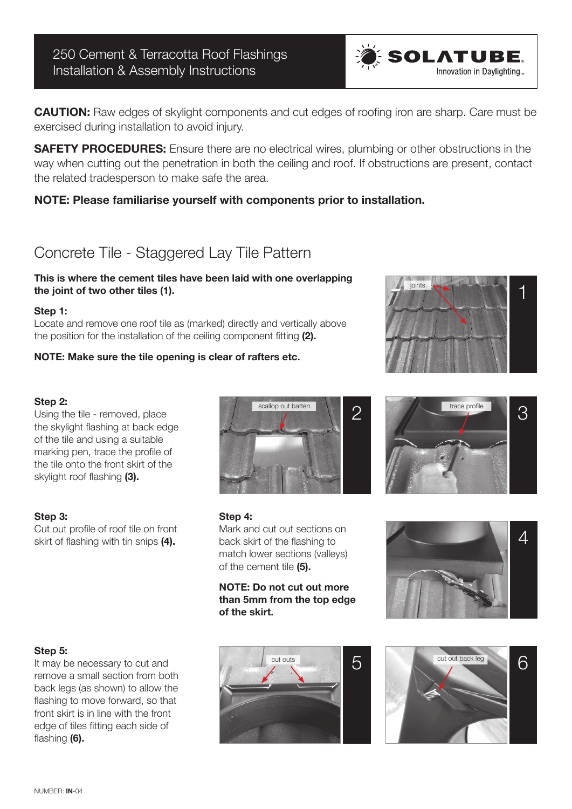250 Cement & Terracotta Roof Flashings Installation & Assembly Instructions

**CAUTION:** Raw edges of skylight components and cut edges of roofing iron are sharp. Care must be exercised during installation to avoid injury.

**SAFETY PROCEDURES:** Ensure there are no electrical wires, plumbing or other obstructions in the way when cutting out the penetration in both the ceiling and roof. If obstructions are present, contact the related tradesperson to make safe the area.

### **NOTE: Please familiarise yourself with components prior to installation.**

# Concrete Tile - Staggered Lay Tile Pattern

#### **This is where the cement tiles have been laid with one overlapping the joint of two other tiles (1).**

#### **Step 1:**

Locate and remove one roof tile as (marked) directly and vertically above the position for the installation of the ceiling component fitting **(2).** 

#### **NOTE: Make sure the tile opening is clear of rafters etc.**

#### **Step 2:**

Using the tile - removed, place the skylight flashing at back edge of the tile and using a suitable marking pen, trace the profile of the tile onto the front skirt of the skylight roof flashing **(3).** 

#### **Step 3:**

Cut out profile of roof tile on front skirt of flashing with tin snips **(4).** 

#### **Step 4:**

Mark and cut out sections on back skirt of the flashing to match lower sections (valleys) of the cement tile **(5).** 

#### **NOTE: Do not cut out more than 5mm from the top edge of the skirt.**



It may be necessary to cut and remove a small section from both back legs (as shown) to allow the flashing to move forward, so that front skirt is in line with the front edge of tiles fitting each side of flashing **(6).** 





**SOLATUBE.** 

Innovation in Davlighting





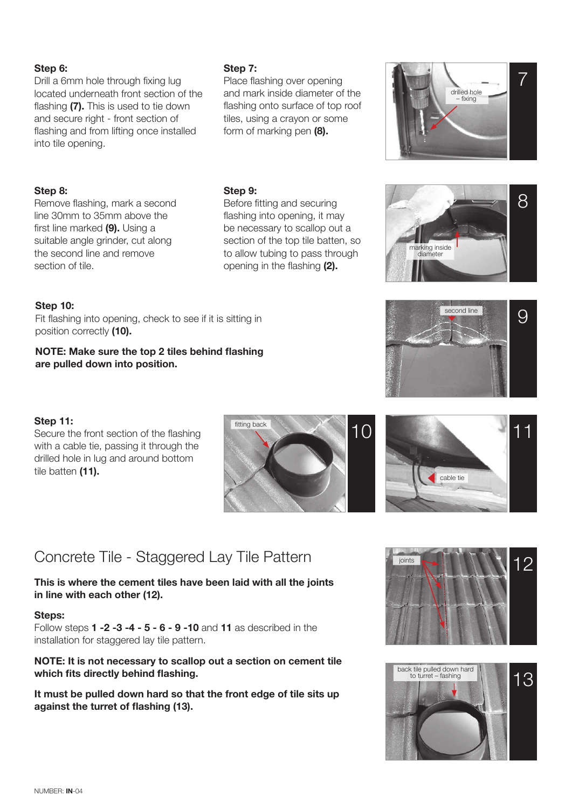#### **Step 6:**

Drill a 6mm hole through fixing lug located underneath front section of the flashing **(7).** This is used to tie down and secure right - front section of flashing and from lifting once installed into tile opening.

## **Step 8:**

Remove flashing, mark a second line 30mm to 35mm above the first line marked **(9).** Using a suitable angle grinder, cut along the second line and remove section of tile.

### **Step 7:**

Place flashing over opening and mark inside diameter of the flashing onto surface of top roof tiles, using a crayon or some form of marking pen **(8).**





Before fitting and securing flashing into opening, it may be necessary to scallop out a section of the top tile batten, so to allow tubing to pass through opening in the flashing **(2).** 

#### **Step 10:**

Fit flashing into opening, check to see if it is sitting in position correctly **(10).** 

**NOTE: Make sure the top 2 tiles behind flashing are pulled down into position.** 

#### **Step 11:**

Secure the front section of the flashing with a cable tie, passing it through the drilled hole in lug and around bottom tile batten **(11).** 





second line

marking inside diameter

9

8





# Concrete Tile - Staggered Lay Tile Pattern

**This is where the cement tiles have been laid with all the joints in line with each other (12).** 

#### **Steps:**

Follow steps **1 -2 -3 -4 - 5 - 6 - 9 -10** and **11** as described in the installation for staggered lay tile pattern.

#### **NOTE: It is not necessary to scallop out a section on cement tile which fits directly behind flashing.**

**It must be pulled down hard so that the front edge of tile sits up against the turret of flashing (13).**